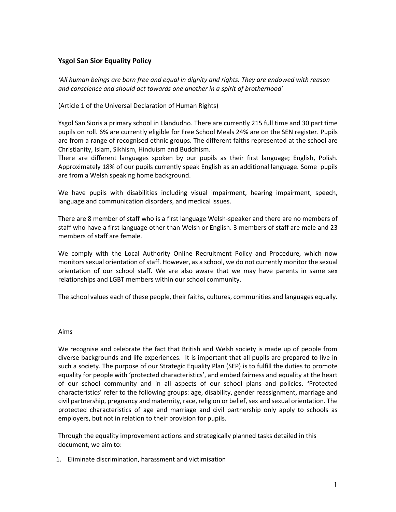# **Ysgol San Sior Equality Policy**

*'All human beings are born free and equal in dignity and rights. They are endowed with reason and conscience and should act towards one another in a spirit of brotherhood'*

### (Article 1 of the Universal Declaration of Human Rights)

Ysgol San Sioris a primary school in Llandudno. There are currently 215 full time and 30 part time pupils on roll. 6% are currently eligible for Free School Meals 24% are on the SEN register. Pupils are from a range of recognised ethnic groups. The different faiths represented at the school are Christianity, Islam, Sikhism, Hinduism and Buddhism.

There are different languages spoken by our pupils as their first language; English, Polish. Approximately 18% of our pupils currently speak English as an additional language. Some pupils are from a Welsh speaking home background.

We have pupils with disabilities including visual impairment, hearing impairment, speech, language and communication disorders, and medical issues.

There are 8 member of staff who is a first language Welsh-speaker and there are no members of staff who have a first language other than Welsh or English. 3 members of staff are male and 23 members of staff are female.

We comply with the Local Authority Online Recruitment Policy and Procedure, which now monitors sexual orientation of staff. However, as a school, we do not currently monitor the sexual orientation of our school staff. We are also aware that we may have parents in same sex relationships and LGBT members within our school community.

The school values each of these people, their faiths, cultures, communities and languages equally.

### Aims

We recognise and celebrate the fact that British and Welsh society is made up of people from diverse backgrounds and life experiences. It is important that all pupils are prepared to live in such a society. The purpose of our Strategic Equality Plan (SEP) is to fulfill the duties to promote equality for people with 'protected characteristics', and embed fairness and equality at the heart of our school community and in all aspects of our school plans and policies. **'**Protected characteristics' refer to the following groups: age, disability, gender reassignment, marriage and civil partnership, pregnancy and maternity, race, religion or belief, sex and sexual orientation. The protected characteristics of age and marriage and civil partnership only apply to schools as employers, but not in relation to their provision for pupils.

Through the equality improvement actions and strategically planned tasks detailed in this document, we aim to:

1. Eliminate discrimination, harassment and victimisation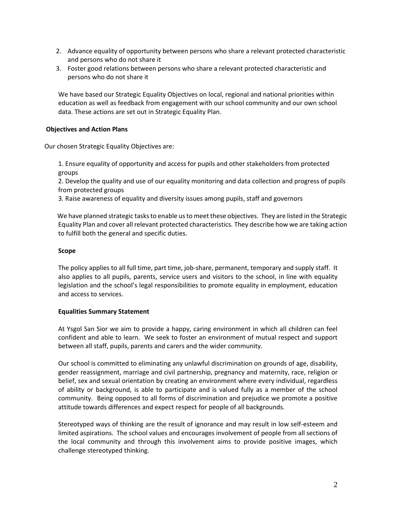- 2. Advance equality of opportunity between persons who share a relevant protected characteristic and persons who do not share it
- 3. Foster good relations between persons who share a relevant protected characteristic and persons who do not share it

We have based our Strategic Equality Objectives on local, regional and national priorities within education as well as feedback from engagement with our school community and our own school data. These actions are set out in Strategic Equality Plan.

## **Objectives and Action Plans**

Our chosen Strategic Equality Objectives are:

1. Ensure equality of opportunity and access for pupils and other stakeholders from protected groups

2. Develop the quality and use of our equality monitoring and data collection and progress of pupils from protected groups

3*.* Raise awareness of equality and diversity issues among pupils, staff and governors

 We have planned strategic tasks to enable us to meet these objectives. They are listed in the Strategic Equality Plan and cover all relevant protected characteristics*.* They describe how we are taking action to fulfill both the general and specific duties.

## **Scope**

The policy applies to all full time, part time, job-share, permanent, temporary and supply staff. It also applies to all pupils, parents, service users and visitors to the school, in line with equality legislation and the school's legal responsibilities to promote equality in employment, education and access to services.

### **Equalities Summary Statement**

At Ysgol San Sior we aim to provide a happy, caring environment in which all children can feel confident and able to learn. We seek to foster an environment of mutual respect and support between all staff, pupils, parents and carers and the wider community.

Our school is committed to eliminating any unlawful discrimination on grounds of age, disability, gender reassignment, marriage and civil partnership, pregnancy and maternity, race, religion or belief, sex and sexual orientation by creating an environment where every individual, regardless of ability or background, is able to participate and is valued fully as a member of the school community. Being opposed to all forms of discrimination and prejudice we promote a positive attitude towards differences and expect respect for people of all backgrounds.

Stereotyped ways of thinking are the result of ignorance and may result in low self-esteem and limited aspirations. The school values and encourages involvement of people from all sections of the local community and through this involvement aims to provide positive images, which challenge stereotyped thinking.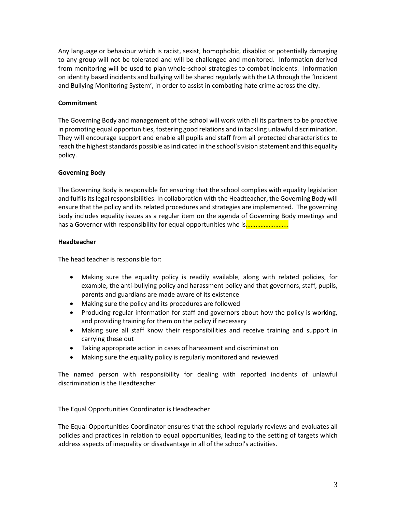Any language or behaviour which is racist, sexist, homophobic, disablist or potentially damaging to any group will not be tolerated and will be challenged and monitored. Information derived from monitoring will be used to plan whole-school strategies to combat incidents. Information on identity based incidents and bullying will be shared regularly with the LA through the 'Incident and Bullying Monitoring System', in order to assist in combating hate crime across the city.

## **Commitment**

The Governing Body and management of the school will work with all its partners to be proactive in promoting equal opportunities, fostering good relations and in tackling unlawful discrimination. They will encourage support and enable all pupils and staff from all protected characteristics to reach the highest standards possible as indicated in the school's vision statement and this equality policy.

## **Governing Body**

The Governing Body is responsible for ensuring that the school complies with equality legislation and fulfils its legal responsibilities. In collaboration with the Headteacher, the Governing Body will ensure that the policy and its related procedures and strategies are implemented. The governing body includes equality issues as a regular item on the agenda of Governing Body meetings and has a Governor with responsibility for equal opportunities who is............................

## **Headteacher**

The head teacher is responsible for:

- Making sure the equality policy is readily available, along with related policies, for example, the anti-bullying policy and harassment policy and that governors, staff, pupils, parents and guardians are made aware of its existence
- Making sure the policy and its procedures are followed
- Producing regular information for staff and governors about how the policy is working, and providing training for them on the policy if necessary
- Making sure all staff know their responsibilities and receive training and support in carrying these out
- Taking appropriate action in cases of harassment and discrimination
- Making sure the equality policy is regularly monitored and reviewed

The named person with responsibility for dealing with reported incidents of unlawful discrimination is the Headteacher

The Equal Opportunities Coordinator is Headteacher

The Equal Opportunities Coordinator ensures that the school regularly reviews and evaluates all policies and practices in relation to equal opportunities, leading to the setting of targets which address aspects of inequality or disadvantage in all of the school's activities.